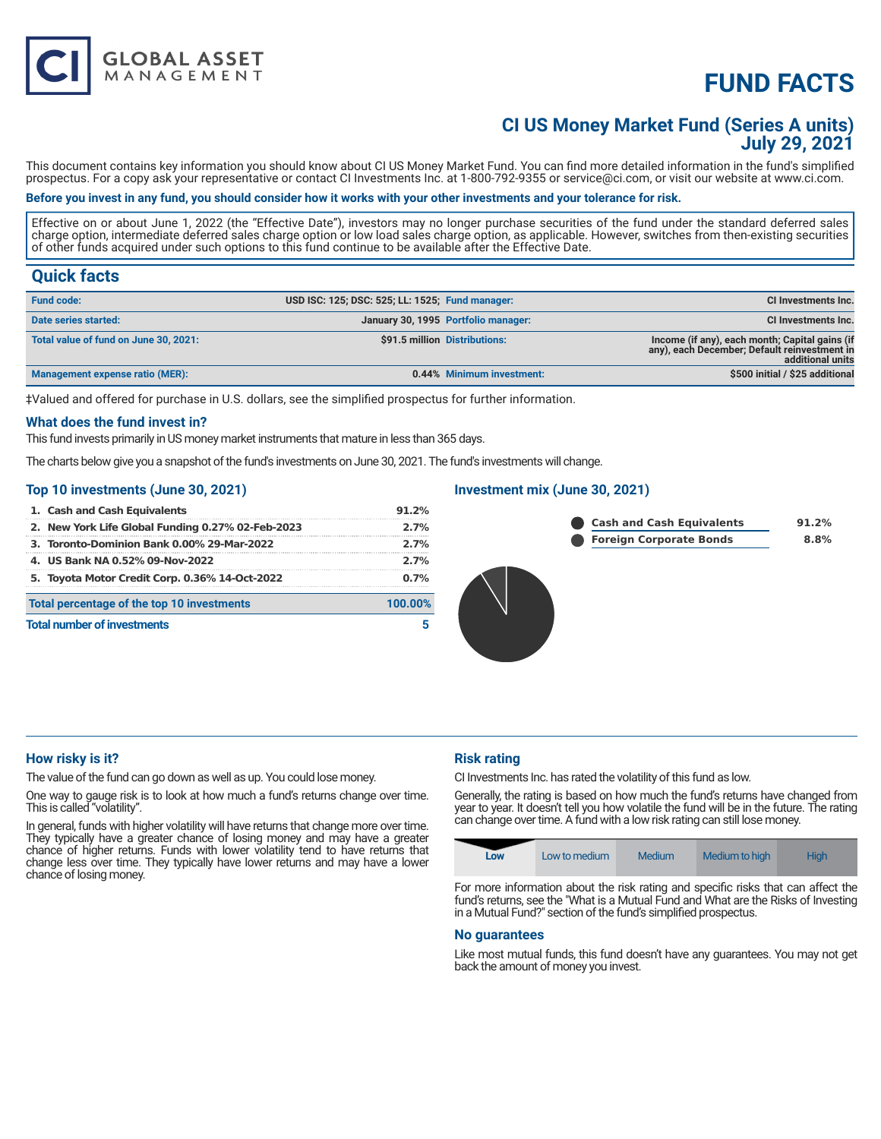# **FUND FACTS**

## **CI US Money Market Fund (Series A units) July 29, 2021**

This document contains key information you should know about CI US Money Market Fund. You can find more detailed information in the fund's simplified prospectus. For a copy ask your representative or contact CI Investments Inc. at 1-800-792-9355 or service@ci.com, or visit our website at www.ci.com.

## **Before you invest in any fund, you should consider how it works with your other investments and your tolerance for risk.**

Effective on or about June 1, 2022 (the "Effective Date"), investors may no longer purchase securities of the fund under the standard deferred sales charge option, intermediate deferred sales charge option or low load sales charge option, as applicable. However, switches from then-existing securities of other funds acquired under such options to this fund continue to be available after the Effective Date.

## **Quick facts**

| <b>Fund code:</b>                     | USD ISC: 125; DSC: 525; LL: 1525; Fund manager: |                                     | <b>CI Investments Inc.</b>                                                                                         |
|---------------------------------------|-------------------------------------------------|-------------------------------------|--------------------------------------------------------------------------------------------------------------------|
| Date series started:                  |                                                 | January 30, 1995 Portfolio manager: | CI Investments Inc.                                                                                                |
| Total value of fund on June 30, 2021: |                                                 | \$91.5 million Distributions:       | Income (if any), each month; Capital gains (if<br>any), each December; Default reinvestment in<br>additional units |
| Management expense ratio (MER):       |                                                 | 0.44% Minimum investment:           | \$500 initial / \$25 additional                                                                                    |

‡Valued and offered for purchase in U.S. dollars, see the simplified prospectus for further information.

#### **What does the fund invest in?**

This fund invests primarily in US money market instruments that mature in less than 365 days.

The charts below give you a snapshot of the fund's investments on June 30, 2021. The fund's investments will change.

#### **Top 10 investments (June 30, 2021)**

**GLOBAL ASSET**<br>MANAGEMENT

| 1. Cash and Cash Equivalents                      | 91.2%   |
|---------------------------------------------------|---------|
| 2. New York Life Global Funding 0.27% 02-Feb-2023 | 2.7%    |
| 3. Toronto-Dominion Bank 0.00% 29-Mar-2022        | 2.7%    |
| 4. US Bank NA 0.52% 09-Nov-2022                   | 2.7%    |
| 5. Toyota Motor Credit Corp. 0.36% 14-Oct-2022    | $0.7\%$ |
| Total percentage of the top 10 investments        | 100.00% |
| <b>Total number of investments</b>                |         |

### **Investment mix (June 30, 2021)**





## **How risky is it?**

The value of the fund can go down as well as up. You could lose money.

One way to gauge risk is to look at how much a fund's returns change over time. This is called "volatility".

In general, funds with higher volatility will have returns that change more over time. They typically have a greater chance of losing money and may have a greater chance of higher returns. Funds with lower volatility tend to have returns that change less over time. They typically have lower returns and may have a lower chance of losing money.

## **Risk rating**

CI Investments Inc. has rated the volatility of this fund as low.

Generally, the rating is based on how much the fund's returns have changed from year to year. It doesn't tell you how volatile the fund will be in the future. The rating can change over time. A fund with a low risk rating can still lose money.



For more information about the risk rating and specific risks that can affect the fund's returns, see the "What is a Mutual Fund and What are the Risks of Investing in a Mutual Fund?" section of the fund's simplified prospectus.

#### **No guarantees**

Like most mutual funds, this fund doesn't have any guarantees. You may not get back the amount of money you invest.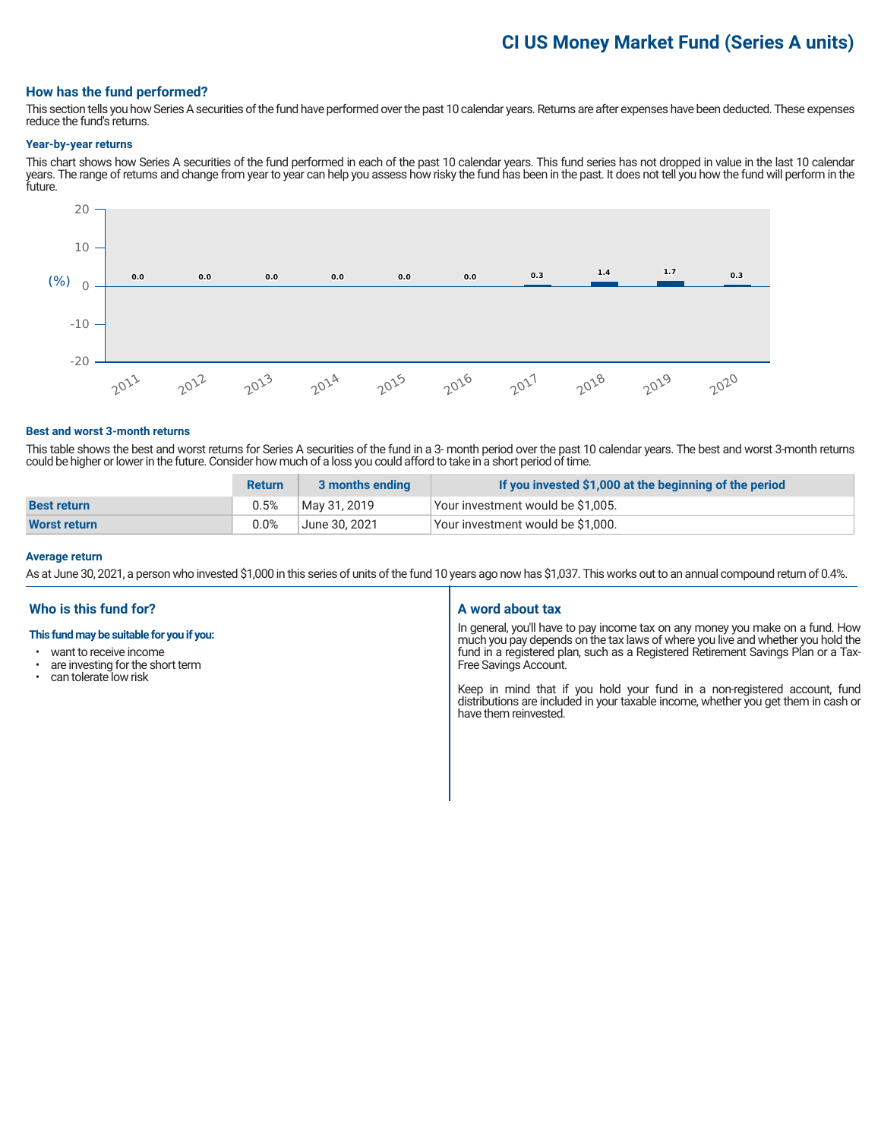## **CI US Money Market Fund (Series A units)**

### **How has the fund performed?**

This section tells you how Series A securities of the fund have performed over the past 10 calendar years. Returns are after expenses have been deducted. These expenses reduce the fund's returns.

#### **Year-by-year returns**

This chart shows how Series A securities of the fund performed in each of the past 10 calendar years. This fund series has not dropped in value in the last 10 calendar years. The range of returns and change from year to year can help you assess how risky the fund has been in the past. It does not tell you how the fund will perform in the future.



#### **Best and worst 3-month returns**

This table shows the best and worst returns for Series A securities of the fund in a 3- month period over the past 10 calendar years. The best and worst 3-month returns could be higher or lower in the future. Consider how much of a loss you could afford to take in a short period of time.

|                     | <b>Return</b> | 3 months ending | If you invested \$1,000 at the beginning of the period |
|---------------------|---------------|-----------------|--------------------------------------------------------|
| <b>Best return</b>  | 0.5%          | May 31, 2019    | Your investment would be \$1,005.                      |
| <b>Worst return</b> | 0.0%          | June 30, 2021   | Your investment would be \$1,000.                      |

#### **Average return**

As at June 30, 2021, a person who invested \$1,000 in this series of units of the fund 10 years ago now has \$1,037. This works out to an annual compound return of 0.4%.

## **Who is this fund for?**

#### **This fund may be suitable for you if you:**

- want to receive income
- are investing for the short term<br>• can tolerate low risk
- can tolerate low risk

### **A word about tax**

In general, you'll have to pay income tax on any money you make on a fund. How much you pay depends on the tax laws of where you live and whether you hold the fund in a registered plan, such as a Registered Retirement Savings Plan or a Tax-Free Savings Account.

Keep in mind that if you hold your fund in a non-registered account, fund distributions are included in your taxable income, whether you get them in cash or have them reinvested.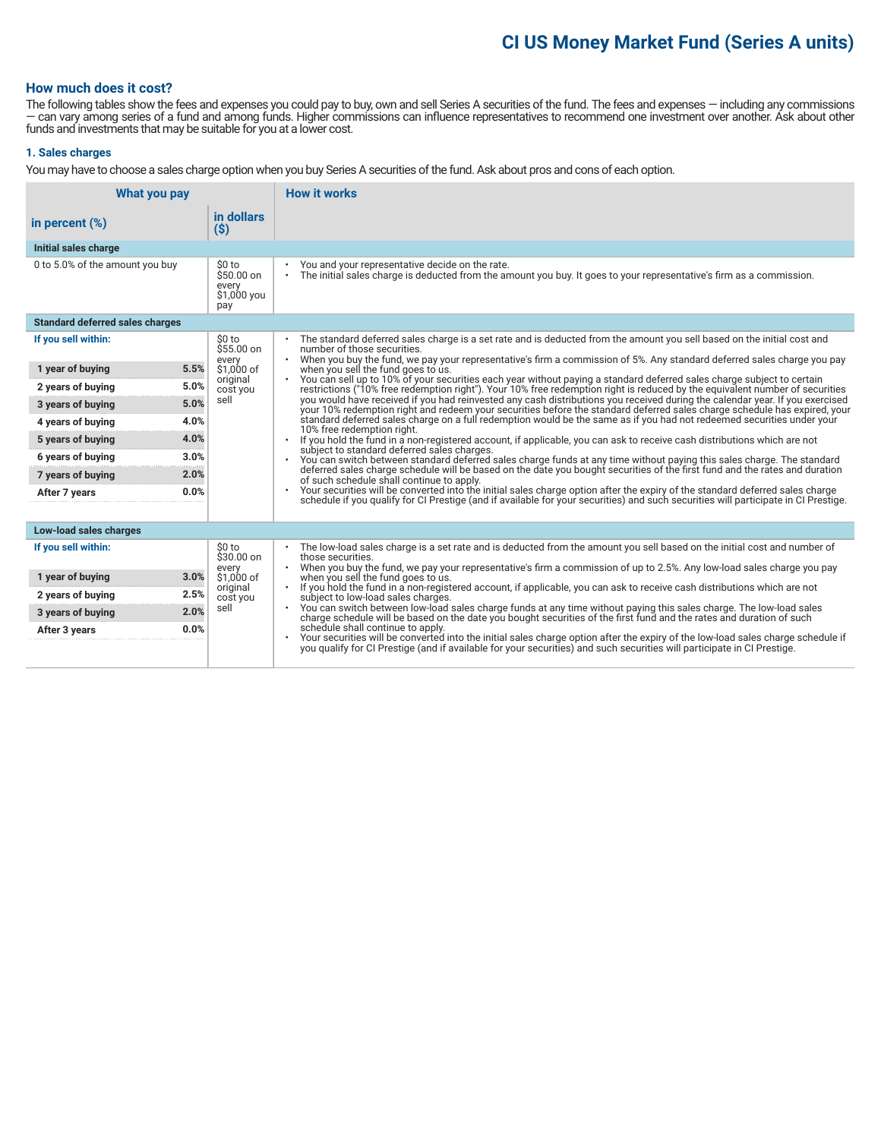## **CI US Money Market Fund (Series A units)**

## **How much does it cost?**

The following tables show the fees and expenses you could pay to buy, own and sell Series A securities of the fund. The fees and expenses — including any commissions — can vary among series of a fund and among funds. Higher commissions can influence representatives to recommend one investment over another. Ask about other funds and investments that may be suitable for you at a lower cost.

## **1. Sales charges**

You may have to choose a sales charge option when you buy Series A securities of the fund. Ask about pros and cons of each option.

| What you pay                           |                                                     | <b>How it works</b>                                                                                                                                                                                                                                                               |  |
|----------------------------------------|-----------------------------------------------------|-----------------------------------------------------------------------------------------------------------------------------------------------------------------------------------------------------------------------------------------------------------------------------------|--|
| in percent $(\%)$                      | in dollars<br>$(\$)$                                |                                                                                                                                                                                                                                                                                   |  |
| Initial sales charge                   |                                                     |                                                                                                                                                                                                                                                                                   |  |
| 0 to 5.0% of the amount you buy        | \$0 to<br>\$50.00 on<br>every<br>\$1,000 you<br>pay | You and your representative decide on the rate.<br>The initial sales charge is deducted from the amount you buy. It goes to your representative's firm as a commission.<br>$\bullet$                                                                                              |  |
| <b>Standard deferred sales charges</b> |                                                     |                                                                                                                                                                                                                                                                                   |  |
| If you sell within:                    | \$0 to<br>$$55.00$ on                               | The standard deferred sales charge is a set rate and is deducted from the amount you sell based on the initial cost and<br>number of those securities.                                                                                                                            |  |
| 5.5%<br>1 year of buying               | every<br>\$1,000 of                                 | When you buy the fund, we pay your representative's firm a commission of 5%. Any standard deferred sales charge you pay<br>$\bullet$<br>when you sell the fund goes to us.                                                                                                        |  |
| 5.0%<br>2 years of buying              | original<br>cost you                                | You can sell up to 10% of your securities each year without paying a standard deferred sales charge subject to certain<br>$\bullet$<br>restrictions ("10% free redemption right"). Your 10% free redemption right is reduced by the equivalent number of securities               |  |
| 5.0%<br>3 years of buying              | sell                                                | you would have received if you had reinvested any cash distributions you received during the calendar year. If you exercised<br>your 10% redemption right and redeem your securities before the standard deferred sales charge schedule has expired, your                         |  |
| 4.0%<br>4 years of buying              |                                                     | standard deferred sales charge on a full redemption would be the same as if you had not redeemed securities under your<br>10% free redemption right.                                                                                                                              |  |
| 4.0%<br>5 years of buying              |                                                     | If you hold the fund in a non-registered account, if applicable, you can ask to receive cash distributions which are not<br>subject to standard deferred sales charges.                                                                                                           |  |
| 3.0%<br>6 years of buying              |                                                     | You can switch between standard deferred sales charge funds at any time without paying this sales charge. The standard<br>deferred sales charge schedule will be based on the date you bought securities of the first fund and the rates and duration                             |  |
| 7 years of buying<br>2.0%              |                                                     | of such schedule shall continue to apply.                                                                                                                                                                                                                                         |  |
| 0.0%<br>After 7 years                  |                                                     | Your securities will be converted into the initial sales charge option after the expiry of the standard deferred sales charge<br>$\bullet$<br>schedule if you qualify for CI Prestige (and if available for your securities) and such securities will participate in CI Prestige. |  |
| Low-load sales charges                 |                                                     |                                                                                                                                                                                                                                                                                   |  |
| If you sell within:                    | \$0 to<br>$$30.00$ on                               | The low-load sales charge is a set rate and is deducted from the amount you sell based on the initial cost and number of<br>$\bullet$<br>those securities.                                                                                                                        |  |
| 3.0%<br>1 year of buying               | every<br>\$1,000 of                                 | When you buy the fund, we pay your representative's firm a commission of up to 2.5%. Any low-load sales charge you pay<br>when you sell the fund goes to us.                                                                                                                      |  |
| 2.5%<br>2 years of buying              | original<br>cost you                                | If you hold the fund in a non-registered account, if applicable, you can ask to receive cash distributions which are not<br>$\bullet$<br>subject to low-load sales charges.                                                                                                       |  |
| 2.0%<br>3 years of buying              | sell                                                | You can switch between low-load sales charge funds at any time without paying this sales charge. The low-load sales<br>charge schedule will be based on the date you bought securities of the first fund and the rates and durati                                                 |  |
| 0.0%<br>After 3 years                  |                                                     | schedule shall continue to apply.                                                                                                                                                                                                                                                 |  |
|                                        |                                                     | Your securities will be converted into the initial sales charge option after the expiry of the low-load sales charge schedule if you qualify for CI Prestige (and if available for your securities) and such securities will p                                                    |  |